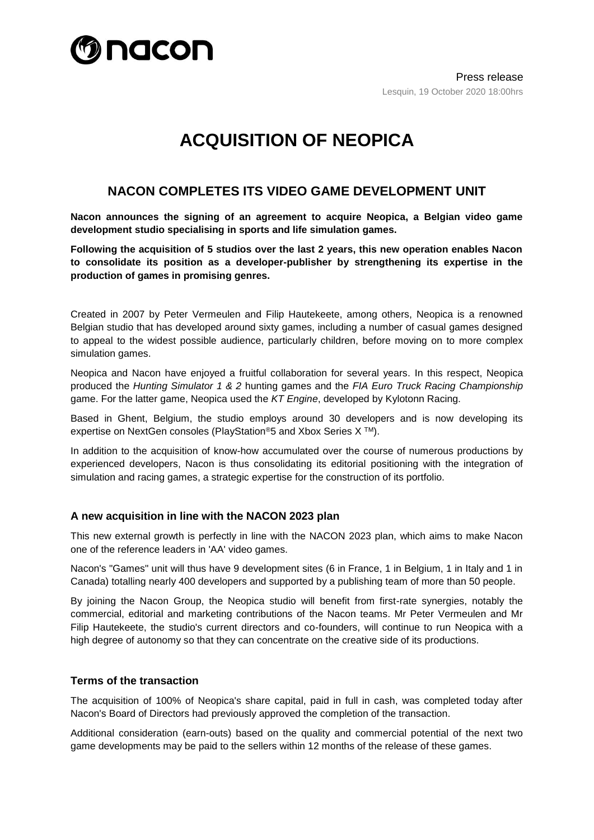

# **ACQUISITION OF NEOPICA**

## **NACON COMPLETES ITS VIDEO GAME DEVELOPMENT UNIT**

**Nacon announces the signing of an agreement to acquire Neopica, a Belgian video game development studio specialising in sports and life simulation games.** 

**Following the acquisition of 5 studios over the last 2 years, this new operation enables Nacon to consolidate its position as a developer-publisher by strengthening its expertise in the production of games in promising genres.** 

Created in 2007 by Peter Vermeulen and Filip Hautekeete, among others, Neopica is a renowned Belgian studio that has developed around sixty games, including a number of casual games designed to appeal to the widest possible audience, particularly children, before moving on to more complex simulation games.

Neopica and Nacon have enjoyed a fruitful collaboration for several years. In this respect, Neopica produced the *Hunting Simulator 1 & 2* hunting games and the *FIA Euro Truck Racing Championship* game. For the latter game, Neopica used the *KT Engine*, developed by Kylotonn Racing.

Based in Ghent, Belgium, the studio employs around 30 developers and is now developing its expertise on NextGen consoles (PlayStation*®*5 and Xbox Series X TM).

In addition to the acquisition of know-how accumulated over the course of numerous productions by experienced developers, Nacon is thus consolidating its editorial positioning with the integration of simulation and racing games, a strategic expertise for the construction of its portfolio.

#### **A new acquisition in line with the NACON 2023 plan**

This new external growth is perfectly in line with the NACON 2023 plan, which aims to make Nacon one of the reference leaders in 'AA' video games.

Nacon's "Games" unit will thus have 9 development sites (6 in France, 1 in Belgium, 1 in Italy and 1 in Canada) totalling nearly 400 developers and supported by a publishing team of more than 50 people.

By joining the Nacon Group, the Neopica studio will benefit from first-rate synergies, notably the commercial, editorial and marketing contributions of the Nacon teams. Mr Peter Vermeulen and Mr Filip Hautekeete, the studio's current directors and co-founders, will continue to run Neopica with a high degree of autonomy so that they can concentrate on the creative side of its productions.

#### **Terms of the transaction**

The acquisition of 100% of Neopica's share capital, paid in full in cash, was completed today after Nacon's Board of Directors had previously approved the completion of the transaction.

Additional consideration (earn-outs) based on the quality and commercial potential of the next two game developments may be paid to the sellers within 12 months of the release of these games.